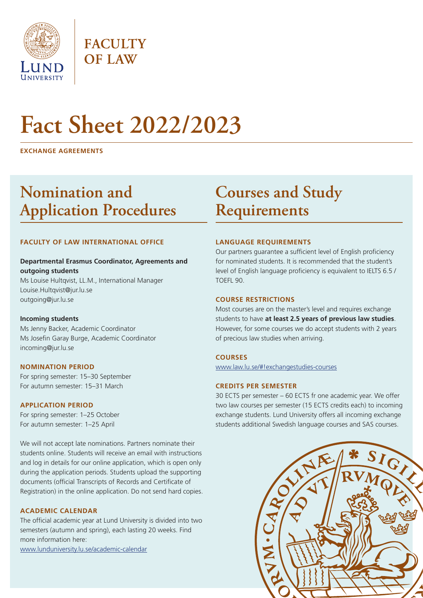

**FACULTY OF LAW** 

# **Fact Sheet 2022/2023**

**EXCHANGE AGREEMENTS**

## **Nomination and Application Procedures**

### **FACULTY OF LAW INTERNATIONAL OFFICE**

### **Departmental Erasmus Coordinator, Agreements and outgoing students**

Ms Louise Hultqvist, LL.M., International Manager Louise.Hultqvist@jur.lu.se outgoing@jur.lu.se

### **Incoming students**

Ms Jenny Backer, Academic Coordinator Ms Josefin Garay Burge, Academic Coordinator incoming@jur.lu.se

### **NOMINATION PERIOD**

For spring semester: 15–30 September For autumn semester: 15–31 March

### **APPLICATION PERIOD**

For spring semester: 1–25 October For autumn semester: 1–25 April

We will not accept late nominations. Partners nominate their students online. Students will receive an email with instructions and log in details for our online application, which is open only during the application periods. Students upload the supporting documents (official Transcripts of Records and Certificate of Registration) in the online application. Do not send hard copies.

### **ACADEMIC CALENDAR**

The official academic year at Lund University is divided into two semesters (autumn and spring), each lasting 20 weeks. Find more information here:

[www.lunduniversity.lu.se/academic-calendar](https://www.lunduniversity.lu.se/international-admissions/why-study-lund-university/academic-calendar)

# **Courses and Study Requirements**

### **LANGUAGE REQUIREMENTS**

Our partners guarantee a sufficient level of English proficiency for nominated students. It is recommended that the student's level of English language proficiency is equivalent to IELTS 6.5 / TOEFL 90.

### **COURSE RESTRICTIONS**

Most courses are on the master's level and requires exchange students to have **at least 2.5 years of previous law studies**. However, for some courses we do accept students with 2 years of precious law studies when arriving.

### **COURSES**

[www.law.lu.se/#!exchangestudies-courses](https://www.law.lu.se/#!exchangestudies-courses)

### **CREDITS PER SEMESTER**

30 ECTS per semester – 60 ECTS fr one academic year. We offer two law courses per semester (15 ECTS credits each) to incoming exchange students. Lund University offers all incoming exchange students additional Swedish language courses and SAS courses.